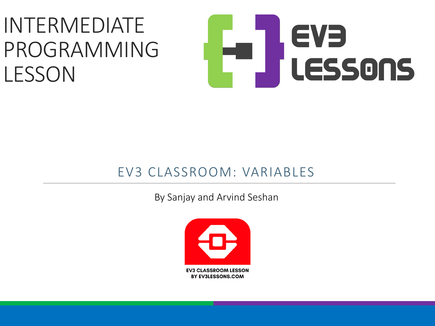#### INTERMEDIATE PROGRAMMING LESSON



#### EV3 CLASSROOM: VARIABLES

By Sanjay and Arvind Seshan

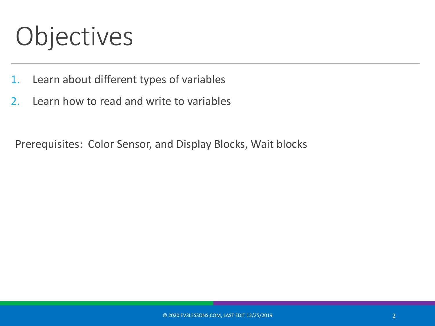## Objectives

- 1. Learn about different types of variables
- 2. Learn how to read and write to variables

Prerequisites: Color Sensor, and Display Blocks, Wait blocks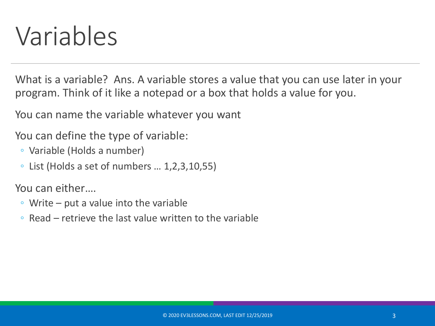#### Variables

What is a variable? Ans. A variable stores a value that you can use later in your program. Think of it like a notepad or a box that holds a value for you.

You can name the variable whatever you want

You can define the type of variable:

- Variable (Holds a number)
- $\circ$  List (Holds a set of numbers  $\dots$  1,2,3,10,55)

You can either….

- Write put a value into the variable
- Read retrieve the last value written to the variable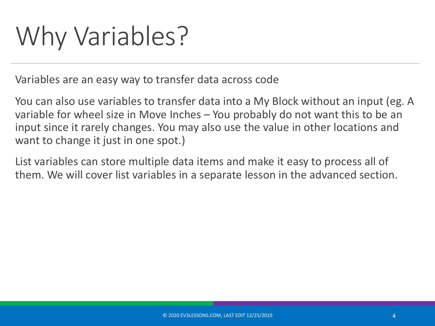# Why Variables?

Variables are an easy way to transfer data across code

You can also use variables to transfer data into a My Block without an input (eg. A variable for wheel size in Move Inches – You probably do not want this to be an input since it rarely changes. You may also use the value in other locations and want to change it just in one spot.)

List variables can store multiple data items and make it easy to process all of them. We will cover list variables in a separate lesson in the advanced section.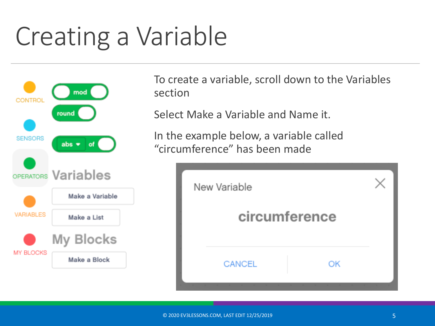## Creating a Variable



To create a variable, scroll down to the Variables section

Select Make a Variable and Name it.

In the example below, a variable called "circumference" has been made

| New Variable |               |    |  |
|--------------|---------------|----|--|
|              | circumference |    |  |
|              | <b>CANCEL</b> | OK |  |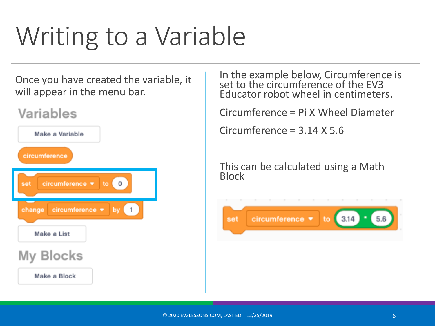# Writing to a Variable

Once you have created the variable, it will appear in the menu bar.

#### Variables



In the example below, Circumference is set to the circumference of the EV3 Educator robot wheel in centimeters.

Circumference = Pi X Wheel Diameter

Circumference = 3.14 X 5.6

This can be calculated using a Math Block

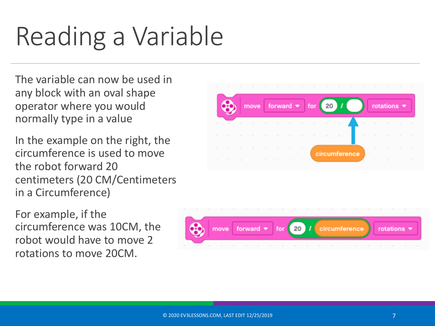# Reading a Variable

The variable can now be used in any block with an oval shape operator where you would normally type in a value

In the example on the right, the circumference is used to move the robot forward 20 centimeters (20 CM/Centimeters in a Circumference)

For example, if the circumference was 10CM, the robot would have to move 2 rotations to move 20CM.



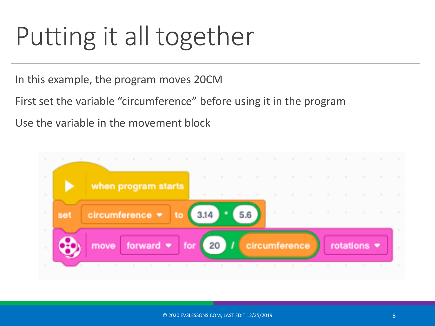### Putting it all together

In this example, the program moves 20CM

First set the variable "circumference" before using it in the program

Use the variable in the movement block

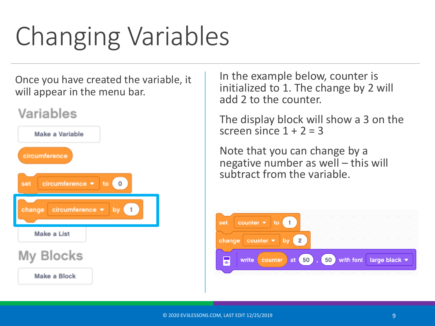# Changing Variables

Once you have created the variable, it will appear in the menu bar.

#### Variables



In the example below, counter is initialized to 1. The change by 2 will add 2 to the counter.

The display block will show a 3 on the screen since  $1 + 2 = 3$ 

Note that you can change by a negative number as well – this will subtract from the variable.

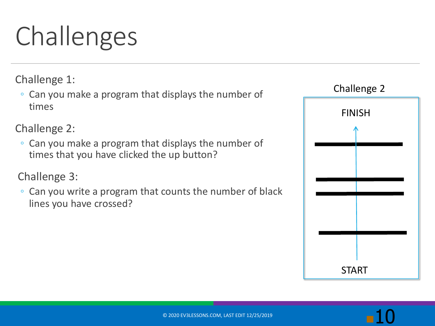# Challenges

Challenge 1:

◦ Can you make a program that displays the number of times

Challenge 2:

◦ Can you make a program that displays the number of times that you have clicked the up button?

Challenge 3:

◦ Can you write a program that counts the number of black lines you have crossed?

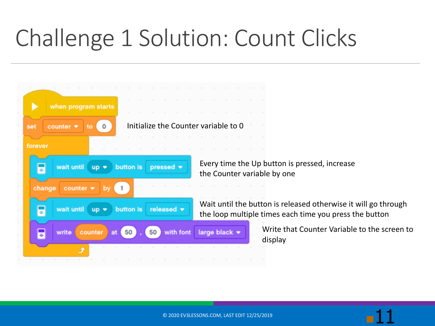#### Challenge 1 Solution: Count Clicks

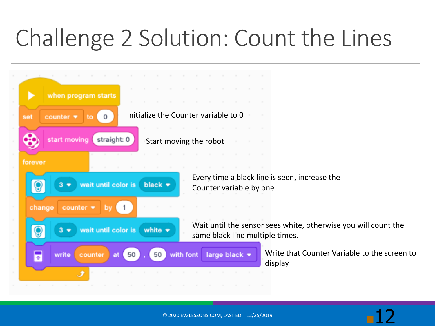#### Challenge 2 Solution: Count the Lines



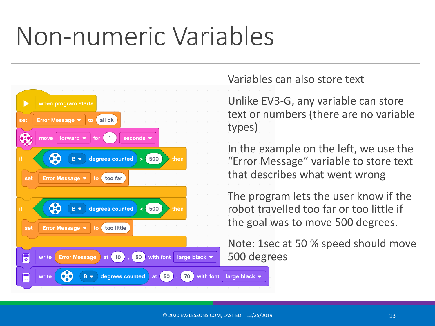### Non-numeric Variables



Variables can also store text

Unlike EV3-G, any variable can store text or numbers (there are no variable types)

In the example on the left, we use the "Error Message" variable to store text that describes what went wrong

The program lets the user know if the robot travelled too far or too little if the goal was to move 500 degrees.

Note: 1sec at 50 % speed should move 500 degrees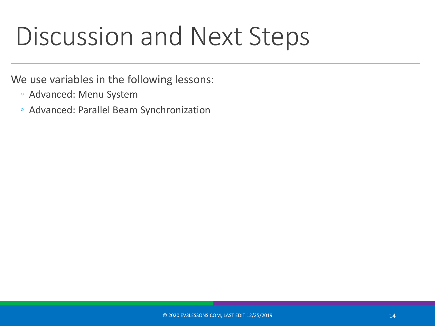#### Discussion and Next Steps

We use variables in the following lessons:

- Advanced: Menu System
- Advanced: Parallel Beam Synchronization